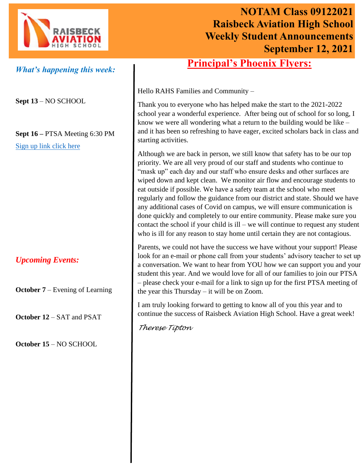

# **NOTAM Class 09122021 Raisbeck Aviation High School Weekly Student Announcements September 12, 2021**

## **Principal's Phoenix Flyers:**

*What's happening this week:*

**Sept 13** – NO SCHOOL

**Sept 16 –** PTSA Meeting 6:30 PM [Sign up link click here](https://docs.google.com/forms/d/e/1FAIpQLSd9CC6Tg5bmqcHgIi1KANHCL-h85Zi4gckPx5IkDO7tvHxpZA/viewform?vc=0&c=0&w=1&flr=0)

*Upcoming Events:*

**October 7** – Evening of Learning

**October 12** – SAT and PSAT

**October 15** – NO SCHOOL

Hello RAHS Families and Community –

Thank you to everyone who has helped make the start to the 2021-2022 school year a wonderful experience. After being out of school for so long, I know we were all wondering what a return to the building would be like – and it has been so refreshing to have eager, excited scholars back in class and starting activities.

Although we are back in person, we still know that safety has to be our top priority. We are all very proud of our staff and students who continue to "mask up" each day and our staff who ensure desks and other surfaces are wiped down and kept clean. We monitor air flow and encourage students to eat outside if possible. We have a safety team at the school who meet regularly and follow the guidance from our district and state. Should we have any additional cases of Covid on campus, we will ensure communication is done quickly and completely to our entire community. Please make sure you contact the school if your child is ill – we will continue to request any student who is ill for any reason to stay home until certain they are not contagious.

Parents, we could not have the success we have without your support! Please look for an e-mail or phone call from your students' advisory teacher to set up a conversation. We want to hear from YOU how we can support you and your student this year. And we would love for all of our families to join our PTSA – please check your e-mail for a link to sign up for the first PTSA meeting of the year this Thursday – it will be on Zoom.

I am truly looking forward to getting to know all of you this year and to continue the success of Raisbeck Aviation High School. Have a great week!

*Therese Tipton*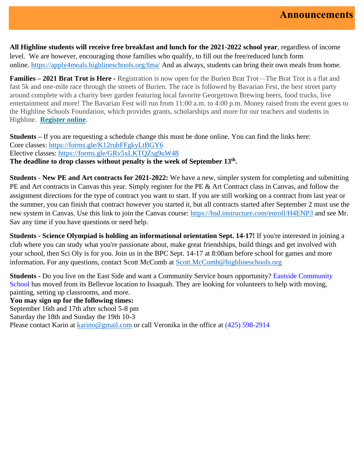**All Highline students will receive free breakfast and lunch for the 2021-2022 school year**, regardless of income level. We are however, encouraging those families who qualify, to fill out the free/reduced lunch form online. [https://apply4meals.highlineschools.org/fma/](https://nam10.safelinks.protection.outlook.com/?url=https%3A%2F%2Fapply4meals.highlineschools.org%2Ffma%2F&data=04%7C01%7CTrish.McGuire%40highlineschools.org%7Cacf76fe2d5e740e059b408d96b5d3a1c%7Ce56e55358e7b44d0bfa81d50833ab846%7C1%7C0%7C637658870418879794%7CUnknown%7CTWFpbGZsb3d8eyJWIjoiMC4wLjAwMDAiLCJQIjoiV2luMzIiLCJBTiI6Ik1haWwiLCJXVCI6Mn0%3D%7C1000&sdata=PXm9%2FbLf7dKk2F5HFrjD8RVU712WFkcdFJmXSomnQuM%3D&reserved=0) And as always, students can bring their own meals from home.

**Families – 2021 Brat Trot is Here -** Registration is now open for the Burien Brat Trot—The Brat Trot is a flat and fast 5k and one-mile race through the streets of Burien. The race is followed by Bavarian Fest, the best street party around complete with a charity beer garden featuring local favorite Georgetown Brewing beers, food trucks, live entertainment and more! The Bavarian Fest will run from 11:00 a.m. to 4:00 p.m. Money raised from the event goes to the Highline Schools Foundation, which provides grants, scholarships and more for our teachers and students in Highline. **[Register online](http://highlineschoolsfoundation.org/brat-trot-bavarian-fest/)**.

**Students** – If you are requesting a schedule change this must be done online. You can find the links here: Core classes: [https://forms.gle/K12rubFFgkyLtBGY6](https://nam10.safelinks.protection.outlook.com/?url=https%3A%2F%2Fforms.gle%2FK12rubFFgkyLtBGY6&data=04%7C01%7CTrish.McGuire%40highlineschools.org%7Ca20ebfe7dcaa4fc8c94b08d96678b06c%7Ce56e55358e7b44d0bfa81d50833ab846%7C1%7C0%7C637653490799568275%7CUnknown%7CTWFpbGZsb3d8eyJWIjoiMC4wLjAwMDAiLCJQIjoiV2luMzIiLCJBTiI6Ik1haWwiLCJXVCI6Mn0%3D%7C1000&sdata=t%2BqIVWx%2FZaHyeHn4WQtRHF304crk%2BM58gkPu%2B88kDB0%3D&reserved=0) Elective classes: [https://forms.gle/GRv5xLKTQZsg9uW48](https://nam10.safelinks.protection.outlook.com/?url=https%3A%2F%2Fforms.gle%2FGRv5xLKTQZsg9uW48&data=04%7C01%7CTrish.McGuire%40highlineschools.org%7Ca20ebfe7dcaa4fc8c94b08d96678b06c%7Ce56e55358e7b44d0bfa81d50833ab846%7C1%7C0%7C637653490799578227%7CUnknown%7CTWFpbGZsb3d8eyJWIjoiMC4wLjAwMDAiLCJQIjoiV2luMzIiLCJBTiI6Ik1haWwiLCJXVCI6Mn0%3D%7C1000&sdata=4YmSpgjOrn7wksoRn38vlj5gwa389%2BZKDWqUDfHh5Kw%3D&reserved=0) **The deadline to drop classes without penalty is the week of September 13th .**

**Students** - **New PE and Art contracts for 2021-2022:** We have a new, simpler system for completing and submitting PE and Art contracts in Canvas this year. Simply register for the PE & Art Contract class in Canvas, and follow the assignment directions for the type of contract you want to start. If you are still working on a contract from last year or the summer, you can finish that contract however you started it, but all contracts started after September 2 must use the new system in Canvas. Use this link to join the Canvas course: [https://hsd.instructure.com/enroll/H4ENP3](https://nam10.safelinks.protection.outlook.com/?url=https%3A%2F%2Fhsd.instructure.com%2Fenroll%2FH4ENP3&data=04%7C01%7CTrish.McGuire%40highlineschools.org%7C1fa6a92d6c384112832b08d9747ec29e%7Ce56e55358e7b44d0bfa81d50833ab846%7C1%7C0%7C637668910046129544%7CUnknown%7CTWFpbGZsb3d8eyJWIjoiMC4wLjAwMDAiLCJQIjoiV2luMzIiLCJBTiI6Ik1haWwiLCJXVCI6Mn0%3D%7C1000&sdata=LHIndw88JNh5OPSl3dnOhzBxYTH02HZfIn2N5EJ4bQ8%3D&reserved=0) and see Mr. Sav any time if you have questions or need help.

**Students - Science Olympiad is holding an informational orientation Sept. 14-17!** If you're interested in joining a club where you can study what you're passionate about, make great friendships, build things and get involved with your school, then Sci Oly is for you. Join us in the BPC Sept. 14-17 at 8:00am before school for games and more information. For any questions, contact Scott McComb at [Scott.McComb@highlineschools.org](mailto:Scott.McComb@highlineschools.org)

**Students -** Do you live on the East Side and want a Community Service hours opportunity? Eastside Community School has moved from its Bellevue location to Issaquah. They are looking for volunteers to help with moving, painting, setting up classrooms, and more.

**You may sign up for the following times:** September 16th and 17th after school 5-8 pm Saturday the 18th and Sunday the 19th 10-3 Please contact Karin at [karino@gmail.com](mailto:karino@gmail.com) or call Veronika in the office at (425) 598-2914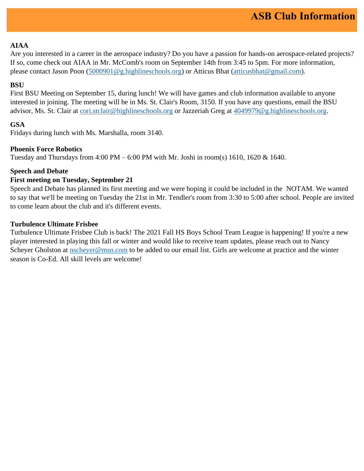## **AIAA**

Are you interested in a career in the aerospace industry? Do you have a passion for hands-on aerospace-related projects? If so, come check out AIAA in Mr. McComb's room on September 14th from 3:45 to 5pm. For more information, please contact Jason Poon [\(5000901@g.highlineschools.org\)](mailto:5000901@g.highlineschools.org) or Atticus Bhat [\(atticusbhat@gmail.com\)](mailto:atticusbhat@gmail.com).

## **BSU**

First BSU Meeting on September 15, during lunch! We will have games and club information available to anyone interested in joining. The meeting will be in Ms. St. Clair's Room, 3150. If you have any questions, email the BSU advisor, Ms. St. Clair at [cori.stclair@highlineschools.org](mailto:cori.stclair@highlineschools.org) or Jazzeriah Greg at [4049979@g.highlineschools.org.](mailto:4049979@g.highlineschools.org)

## **GSA**

Fridays during lunch with Ms. Marshalla, room 3140.

#### **Phoenix Force Robotics**

Tuesday and Thursdays from 4:00 PM – 6:00 PM with Mr. Joshi in room(s) 1610, 1620 & 1640.

## **Speech and Debate**

#### **First meeting on Tuesday, September 21**

Speech and Debate has planned its first meeting and we were hoping it could be included in the NOTAM. We wanted to say that we'll be meeting on Tuesday the 21st in Mr. Tendler's room from 3:30 to 5:00 after school. People are invited to come learn about the club and it's different events.

#### **Turbulence Ultimate Frisbee**

Turbulence Ultimate Frisbee Club is back! The 2021 Fall HS Boys School Team League is happening! If you're a new player interested in playing this fall or winter and would like to receive team updates, please reach out to Nancy Scheyer Gholston at [nscheyer@msn.com](mailto:nscheyer@msn.com) to be added to our email list. Girls are welcome at practice and the winter season is Co-Ed. All skill levels are welcome!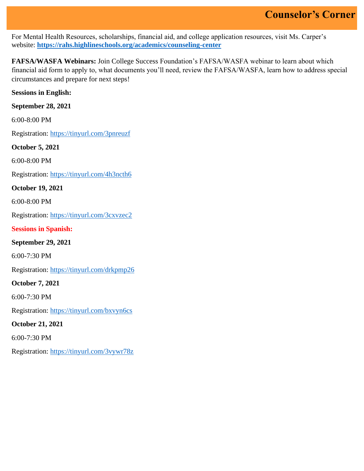For Mental Health Resources, scholarships, financial aid, and college application resources, visit Ms. Carper's website: **<https://rahs.highlineschools.org/academics/counseling-center>**

**FAFSA/WASFA Webinars:** Join College Success Foundation's FAFSA/WASFA webinar to learn about which financial aid form to apply to, what documents you'll need, review the FAFSA/WASFA, learn how to address special circumstances and prepare for next steps!

**Sessions in English:**

**September 28, 2021** 

6:00-8:00 PM

Registration: [https://tinyurl.com/3pnreuzf](https://nam10.safelinks.protection.outlook.com/?url=https%3A%2F%2Ftinyurl.com%2F3pnreuzf&data=04%7C01%7CTrish.McGuire%40highlineschools.org%7C93c66dd4f16245de69e808d973d1c624%7Ce56e55358e7b44d0bfa81d50833ab846%7C1%7C0%7C637668167066511790%7CUnknown%7CTWFpbGZsb3d8eyJWIjoiMC4wLjAwMDAiLCJQIjoiV2luMzIiLCJBTiI6Ik1haWwiLCJXVCI6Mn0%3D%7C1000&sdata=2N3lc1oK3k1o1GYKMqFfxmSacjVTeCVvVlDV3uE6FJw%3D&reserved=0)

**October 5, 2021**

6:00-8:00 PM

Registration: [https://tinyurl.com/4h3ncth6](https://nam10.safelinks.protection.outlook.com/?url=https%3A%2F%2Ftinyurl.com%2F4h3ncth6&data=04%7C01%7CTrish.McGuire%40highlineschools.org%7C93c66dd4f16245de69e808d973d1c624%7Ce56e55358e7b44d0bfa81d50833ab846%7C1%7C0%7C637668167066521749%7CUnknown%7CTWFpbGZsb3d8eyJWIjoiMC4wLjAwMDAiLCJQIjoiV2luMzIiLCJBTiI6Ik1haWwiLCJXVCI6Mn0%3D%7C1000&sdata=g72786QN8B482G0YK0NQhU8EeLRWAJhlslKm%2FDY%2FRss%3D&reserved=0)

**October 19, 2021** 

6:00-8:00 PM

Registration: [https://tinyurl.com/3cxvzec2](https://nam10.safelinks.protection.outlook.com/?url=https%3A%2F%2Ftinyurl.com%2F3cxvzec2&data=04%7C01%7CTrish.McGuire%40highlineschools.org%7C93c66dd4f16245de69e808d973d1c624%7Ce56e55358e7b44d0bfa81d50833ab846%7C1%7C0%7C637668167066531687%7CUnknown%7CTWFpbGZsb3d8eyJWIjoiMC4wLjAwMDAiLCJQIjoiV2luMzIiLCJBTiI6Ik1haWwiLCJXVCI6Mn0%3D%7C1000&sdata=LPDZSeP1fH6769mjM8IyY7ORTdW%2FrEAnnlod6ARLvug%3D&reserved=0)

**Sessions in Spanish:**

**September 29, 2021**

6:00-7:30 PM

Registration: [https://tinyurl.com/drkpmp26](https://nam10.safelinks.protection.outlook.com/?url=https%3A%2F%2Ftinyurl.com%2Fdrkpmp26&data=04%7C01%7CTrish.McGuire%40highlineschools.org%7C93c66dd4f16245de69e808d973d1c624%7Ce56e55358e7b44d0bfa81d50833ab846%7C1%7C0%7C637668167066531687%7CUnknown%7CTWFpbGZsb3d8eyJWIjoiMC4wLjAwMDAiLCJQIjoiV2luMzIiLCJBTiI6Ik1haWwiLCJXVCI6Mn0%3D%7C1000&sdata=ej1Ld2HDicmIVVKqNrhGMRloqL%2BQ7T8vBOOgvaEFG24%3D&reserved=0)

**October 7, 2021**

6:00-7:30 PM

Registration: [https://tinyurl.com/bxvyn6cs](https://nam10.safelinks.protection.outlook.com/?url=https%3A%2F%2Ftinyurl.com%2Fbxvyn6cs&data=04%7C01%7CTrish.McGuire%40highlineschools.org%7C93c66dd4f16245de69e808d973d1c624%7Ce56e55358e7b44d0bfa81d50833ab846%7C1%7C0%7C637668167066541641%7CUnknown%7CTWFpbGZsb3d8eyJWIjoiMC4wLjAwMDAiLCJQIjoiV2luMzIiLCJBTiI6Ik1haWwiLCJXVCI6Mn0%3D%7C1000&sdata=Pia5ehkDccli%2B6ES3nfOogxdSak7ME0ShBd3e4mPbmQ%3D&reserved=0)

**October 21, 2021**

6:00-7:30 PM

Registration: [https://tinyurl.com/3vywr78z](https://nam10.safelinks.protection.outlook.com/?url=https%3A%2F%2Ftinyurl.com%2F3vywr78z&data=04%7C01%7CTrish.McGuire%40highlineschools.org%7C93c66dd4f16245de69e808d973d1c624%7Ce56e55358e7b44d0bfa81d50833ab846%7C1%7C0%7C637668167066541641%7CUnknown%7CTWFpbGZsb3d8eyJWIjoiMC4wLjAwMDAiLCJQIjoiV2luMzIiLCJBTiI6Ik1haWwiLCJXVCI6Mn0%3D%7C1000&sdata=rV%2Bt%2FIhGTn9oyhYk%2FblOh6kuVkc8Ve2nZYZFi%2FMOO2Y%3D&reserved=0)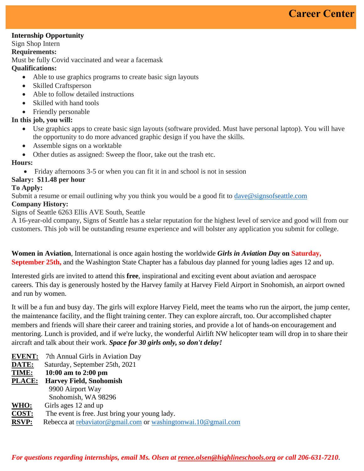#### **Internship Opportunity**

Sign Shop Intern

#### **Requirements:**

Must be fully Covid vaccinated and wear a facemask

## **Qualifications:**

- Able to use graphics programs to create basic sign layouts
- Skilled Craftsperson
- Able to follow detailed instructions
- Skilled with hand tools
- Friendly personable

## **In this job, you will:**

- Use graphics apps to create basic sign layouts (software provided. Must have personal laptop). You will have the opportunity to do more advanced graphic design if you have the skills.
- Assemble signs on a worktable
- Other duties as assigned: Sweep the floor, take out the trash etc.

#### **Hours:**

• Friday afternoons 3-5 or when you can fit it in and school is not in session

#### **Salary: \$11.48 per hour**

#### **To Apply:**

Submit a resume or email outlining why you think you would be a good fit to [dave@signsofs](mailto:dave@signsof)eattle.com

#### **Company History:**

#### Signs of Seattle 6263 Ellis AVE South, Seattle

A 16-year-old company, Signs of Seattle has a stelar reputation for the highest level of service and good will from our customers. This job will be outstanding resume experience and will bolster any application you submit for college.

**Women in Aviation**, International is once again hosting the worldwide *Girls in Aviation Day* **on Saturday, September 25th,** and the Washington State Chapter has a fabulous day planned for young ladies ages 12 and up.

Interested girls are invited to attend this **free**, inspirational and exciting event about aviation and aerospace careers. This day is generously hosted by the Harvey family at Harvey Field Airport in Snohomish, an airport owned and run by women.

It will be a fun and busy day. The girls will explore Harvey Field, meet the teams who run the airport, the jump center, the maintenance facility, and the flight training center. They can explore aircraft, too. Our accomplished chapter members and friends will share their career and training stories, and provide a lot of hands-on encouragement and mentoring. Lunch is provided, and if we're lucky, the wonderful Airlift NW helicopter team will drop in to share their aircraft and talk about their work. *Space for 30 girls only, so don't delay!*

| <b>EVENT:</b> | 7th Annual Girls in Aviation Day                              |
|---------------|---------------------------------------------------------------|
| DATE:         | Saturday, September 25th, 2021                                |
| TIME:         | 10:00 am to 2:00 pm                                           |
| PLACE:        | <b>Harvey Field, Snohomish</b>                                |
|               | 9900 Airport Way                                              |
|               | Snohomish, WA 98296                                           |
| WHO:          | Girls ages 12 and up                                          |
| COST:         | The event is free. Just bring your young lady.                |
| <b>RSVP:</b>  | Rebecca at rebaviator@gmail.com or washingtonwai.10@gmail.com |

*For questions regarding internships, email Ms. Olsen at [renee.olsen@highlineschools.org](mailto:renee.olsen@highlineschools.org) or call 206-631-7210*.